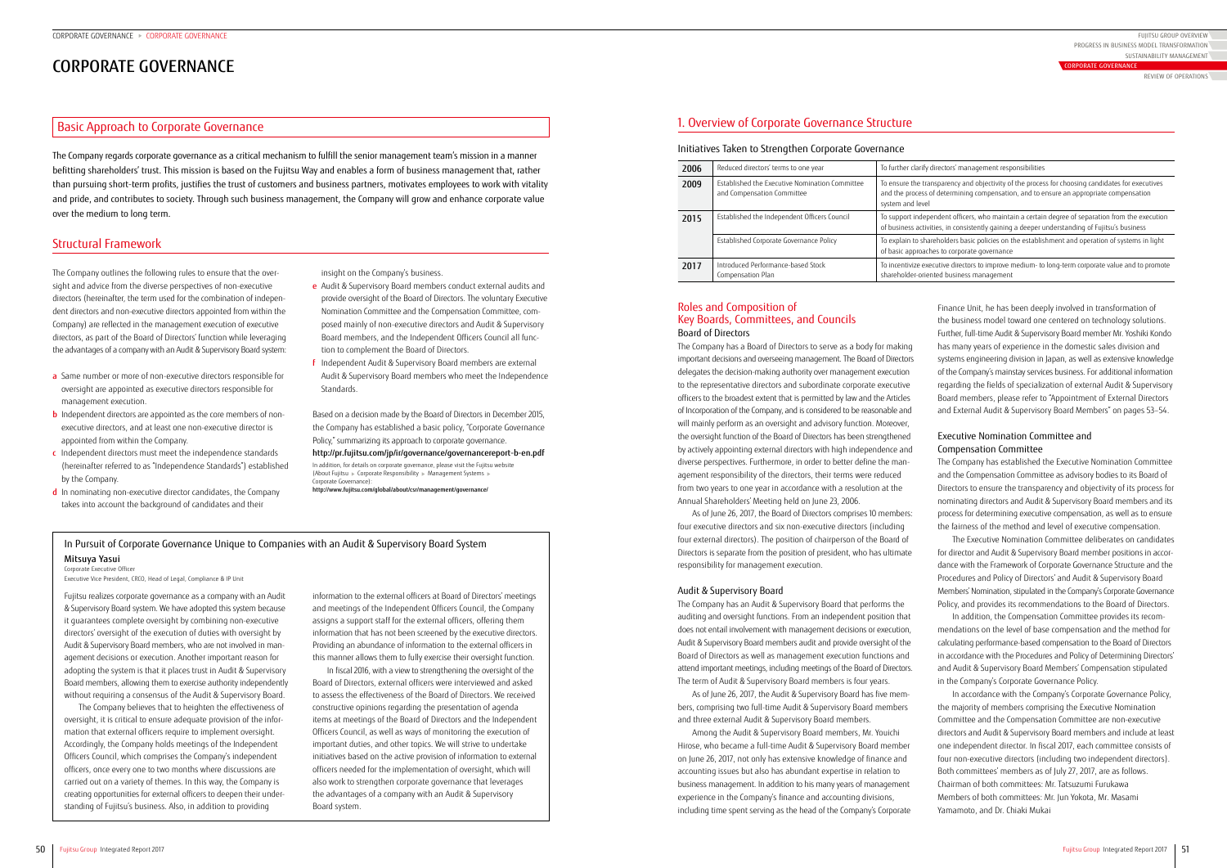# CORPORATE GOVERNANCE

The Company regards corporate governance as a critical mechanism to fulfill the senior management team's mission in a manner befitting shareholders' trust. This mission is based on the Fujitsu Way and enables a form of business management that, rather than pursuing short-term profits, justifies the trust of customers and business partners, motivates employees to work with vitality and pride, and contributes to society. Through such business management, the Company will grow and enhance corporate value over the medium to long term.

# Basic Approach to Corporate Governance

insight on the Company's business.

(About Fujitsu > Corporate Responsibility > Management Systems + Corporate Governance):

- e Audit & Supervisory Board members conduct external audits and provide oversight of the Board of Directors. The voluntary Executive Nomination Committee and the Compensation Committee, composed mainly of non-executive directors and Audit & Supervisory Board members, and the Independent Officers Council all function to complement the Board of Directors.
- f Independent Audit & Supervisory Board members are external Audit & Supervisory Board members who meet the Independence Standards.

Based on a decision made by the Board of Directors in December 2015, the Company has established a basic policy, "Corporate Governance Policy," summarizing its approach to corporate governance.

<http://pr.fujitsu.com/jp/ir/governance/governancereport-b-en.pdf> In addition, for details on corporate governance, please visit the Fujitsu website

http://www.fujitsu.com/global/about/csr/management/governance/

Finance Unit, he has been deeply involved in transformation of the business model toward one centered on technology solutions. Further, full-time Audit & Supervisory Board member Mr. Yoshiki Kondo has many years of experience in the domestic sales division and systems engineering division in Japan, as well as extensive knowledge of the Company's mainstay services business. For additional information regarding the fields of specialization of external Audit & Supervisory Board members, please refer to "Appointment of External Directors and External Audit & Supervisory Board Members" on pages 53–54.

# Executive Nomination Committee and Compensation Committee

The Company has established the Executive Nomination Committee and the Compensation Committee as advisory bodies to its Board of Directors to ensure the transparency and objectivity of its process for nominating directors and Audit & Supervisory Board members and its process for determining executive compensation, as well as to ensure the fairness of the method and level of executive compensation.

- a Same number or more of non-executive directors responsible for oversight are appointed as executive directors responsible for management execution.
- **b** Independent directors are appointed as the core members of nonexecutive directors, and at least one non-executive director is appointed from within the Company.
- c Independent directors must meet the independence standards (hereinafter referred to as "Independence Standards") established by the Company.
- d In nominating non-executive director candidates, the Company takes into account the background of candidates and their

The Executive Nomination Committee deliberates on candidates for director and Audit & Supervisory Board member positions in accordance with the Framework of Corporate Governance Structure and the Procedures and Policy of Directors' and Audit & Supervisory Board Members' Nomination, stipulated in the Company's Corporate Governance Policy, and provides its recommendations to the Board of Directors.

In addition, the Compensation Committee provides its recommendations on the level of base compensation and the method for calculating performance-based compensation to the Board of Directors in accordance with the Procedures and Policy of Determining Directors' and Audit & Supervisory Board Members' Compensation stipulated in the Company's Corporate Governance Policy.

In accordance with the Company's Corporate Governance Policy, the majority of members comprising the Executive Nomination Committee and the Compensation Committee are non-executive directors and Audit & Supervisory Board members and include at least one independent director. In fiscal 2017, each committee consists of four non-executive directors (including two independent directors). Both committees' members as of July 27, 2017, are as follows. Chairman of both committees: Mr. Tatsuzumi Furukawa Members of both committees: Mr. Jun Yokota, Mr. Masami Yamamoto, and Dr. Chiaki Mukai

The Company outlines the following rules to ensure that the oversight and advice from the diverse perspectives of non-executive directors (hereinafter, the term used for the combination of independent directors and non-executive directors appointed from within the Company) are reflected in the management execution of executive directors, as part of the Board of Directors' function while leveraging the advantages of a company with an Audit & Supervisory Board system:

Fujitsu realizes corporate governance as a company with an Audit & Supervisory Board system. We have adopted this system because it guarantees complete oversight by combining non-executive directors' oversight of the execution of duties with oversight by Audit & Supervisory Board members, who are not involved in management decisions or execution. Another important reason for adopting the system is that it places trust in Audit & Supervisory Board members, allowing them to exercise authority independently without requiring a consensus of the Audit & Supervisory Board.

# Roles and Composition of Key Boards, Committees, and Councils Board of Directors

The Company has a Board of Directors to serve as a body for making important decisions and overseeing management. The Board of Directors delegates the decision-making authority over management execution to the representative directors and subordinate corporate executive officers to the broadest extent that is permitted by law and the Articles of Incorporation of the Company, and is considered to be reasonable and will mainly perform as an oversight and advisory function. Moreover, the oversight function of the Board of Directors has been strengthened by actively appointing external directors with high independence and diverse perspectives. Furthermore, in order to better define the management responsibility of the directors, their terms were reduced from two years to one year in accordance with a resolution at the Annual Shareholders' Meeting held on June 23, 2006.

As of June 26, 2017, the Board of Directors comprises 10 members: four executive directors and six non-executive directors (including four external directors). The position of chairperson of the Board of Directors is separate from the position of president, who has ultimate responsibility for management execution.

# Audit & Supervisory Board

The Company has an Audit & Supervisory Board that performs the auditing and oversight functions. From an independent position that does not entail involvement with management decisions or execution, Audit & Supervisory Board members audit and provide oversight of the Board of Directors as well as management execution functions and attend important meetings, including meetings of the Board of Directors. The term of Audit & Supervisory Board members is four years.

As of June 26, 2017, the Audit & Supervisory Board has five members, comprising two full-time Audit & Supervisory Board members and three external Audit & Supervisory Board members.

Among the Audit & Supervisory Board members, Mr. Youichi Hirose, who became a full-time Audit & Supervisory Board member on June 26, 2017, not only has extensive knowledge of finance and accounting issues but also has abundant expertise in relation to business management. In addition to his many years of management experience in the Company's finance and accounting divisions, including time spent serving as the head of the Company's Corporate

### Initiatives Taken to Strengthen Corporate Governance

| 2006 | Reduced directors' terms to one year                                         | To further clarify                                       |
|------|------------------------------------------------------------------------------|----------------------------------------------------------|
| 2009 | Established the Executive Nomination Committee<br>and Compensation Committee | To ensure the tra<br>and the process<br>system and level |
| 2015 | Established the Independent Officers Council                                 | To support indep<br>of business activ                    |
|      | Established Corporate Governance Policy                                      | To explain to sha<br>of basic approacl                   |
| 2017 | Introduced Performance-based Stock<br>Compensation Plan                      | To incentivize ex<br>shareholder-orie                    |
|      |                                                                              |                                                          |

The Company believes that to heighten the effectiveness of oversight, it is critical to ensure adequate provision of the information that external officers require to implement oversight. Accordingly, the Company holds meetings of the Independent Officers Council, which comprises the Company's independent officers, once every one to two months where discussions are carried out on a variety of themes. In this way, the Company is creating opportunities for external officers to deepen their understanding of Fujitsu's business. Also, in addition to providing

information to the external officers at Board of Directors' meetings and meetings of the Independent Officers Council, the Company assigns a support staff for the external officers, offering them information that has not been screened by the executive directors. Providing an abundance of information to the external officers in this manner allows them to fully exercise their oversight function.

In fiscal 2016, with a view to strengthening the oversight of the Board of Directors, external officers were interviewed and asked to assess the effectiveness of the Board of Directors. We received constructive opinions regarding the presentation of agenda items at meetings of the Board of Directors and the Independent Officers Council, as well as ways of monitoring the execution of important duties, and other topics. We will strive to undertake initiatives based on the active provision of information to external officers needed for the implementation of oversight, which will also work to strengthen corporate governance that leverages the advantages of a company with an Audit & Supervisory Board system.

# In Pursuit of Corporate Governance Unique to Companies with an Audit & Supervisory Board System Mitsuya Yasui

# Corporate Executive Officer

Executive Vice President, CRCO, Head of Legal, Compliance & IP Unit

# Structural Framework

# 1. Overview of Corporate Governance Structure

FUJITSU GROUP OVERVIEW SUSTAINABILITY MANAGEMENT PROGRESS IN BUSINESS MODEL TRANSFORMATION

REVIEW OF OPERATIONS

fy directors' management responsibilities

transparency and objectivity of the process for choosing candidates for executives s of determining compensation, and to ensure an appropriate compensation

ependent officers, who maintain a certain degree of separation from the execution ivities, in consistently gaining a deeper understanding of Fujitsu's business hareholders basic policies on the establishment and operation of systems in light aches to corporate governance

executive directors to improve medium- to long-term corporate value and to promote iented business management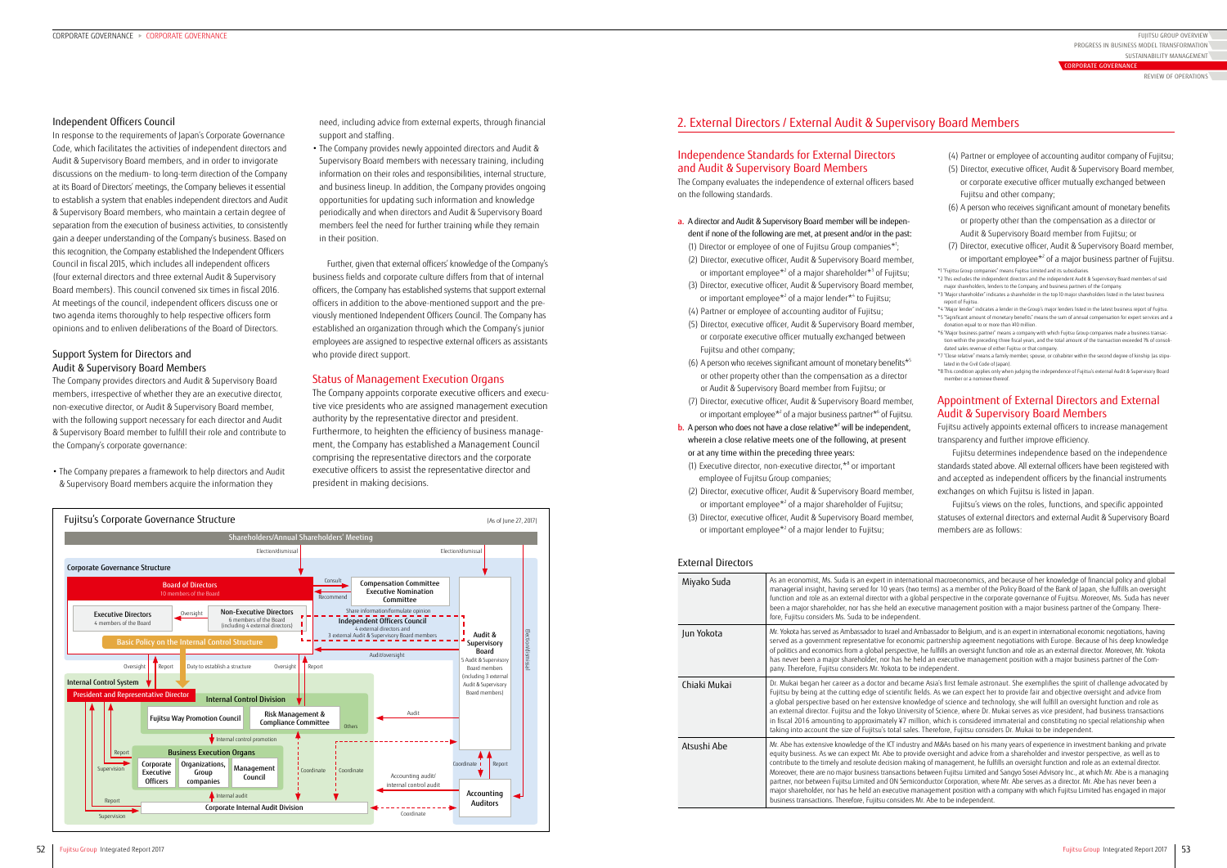need, including advice from external experts, through financial support and staffing.

• The Company provides newly appointed directors and Audit & Supervisory Board members with necessary training, including information on their roles and responsibilities, internal structure, and business lineup. In addition, the Company provides ongoing opportunities for updating such information and knowledge periodically and when directors and Audit & Supervisory Board members feel the need for further training while they remain in their position.

- (4) Partner or employee of accounting auditor company of Fujitsu;
- (5) Director, executive officer, Audit & Supervisory Board member, or corporate executive officer mutually exchanged between Fujitsu and other company;
- (6) A person who receives significant amount of monetary benefits or property other than the compensation as a director or Audit & Supervisory Board member from Fujitsu; or
- (7) Director, executive officer, Audit & Supervisory Board member, or important employee<sup>\*2</sup> of a major business partner of Fujitsu.

Further, given that external officers' knowledge of the Company's business fields and corporate culture differs from that of internal officers, the Company has established systems that support external officers in addition to the above-mentioned support and the previously mentioned Independent Officers Council. The Company has established an organization through which the Company's junior employees are assigned to respective external officers as assistants who provide direct support.

# Status of Management Execution Organs

- \*4 "Major lender" indicates a lender in the Group's major lenders listed in the latest business report of Fujitsu. \*5 "Significant amount of monetary benefits" means the sum of annual compensation for expert services and a donation equal to or more than ¥10 million.
- \*6 "Major business partner" means a company with which Fujitsu Group companies made a business transaction within the preceding three fiscal years, and the total amount of the transaction exceeded 1% of consolidated sales revenue of either Fujitsu or that company.
- \*7 "Close relative" means a family member, spouse, or cohabiter within the second degree of kinship (as stipulated in the Civil Code of Japan).
- \*8 This condition applies only when judging the independence of Fujitsu's external Audit & Supervisory Board member or a nominee thereof

The Company appoints corporate executive officers and executive vice presidents who are assigned management execution authority by the representative director and president. Furthermore, to heighten the efficiency of business management, the Company has established a Management Council comprising the representative directors and the corporate executive officers to assist the representative director and president in making decisions.

\*1 "Fujitsu Group companies" means Fujitsu Limited and its subsidiaries. \*2 This excludes the independent directors and the independent Audit & Supervisory Board members of said major shareholders, lenders to the Company, and business partners of the Company.

\*3 "Major shareholder" indicates a shareholder in the top 10 major shareholders listed in the latest business report of Fujitsu.

- a. A director and Audit & Supervisory Board member will be independent if none of the following are met, at present and/or in the past: (1) Director or employee of one of Fujitsu Group companies\*1;
- (2) Director, executive officer, Audit & Supervisory Board member, or important employee<sup>\*2</sup> of a major shareholder<sup>\*3</sup> of Fujitsu;
- (3) Director, executive officer, Audit & Supervisory Board member, or important employee<sup>\*2</sup> of a major lender<sup>\*4</sup> to Fujitsu; (4) Partner or employee of accounting auditor of Fujitsu;
- 
- (5) Director, executive officer, Audit & Supervisory Board member, or corporate executive officer mutually exchanged between Fujitsu and other company;
- (6) A person who receives significant amount of monetary benefits $*$ <sup>5</sup> or other property other than the compensation as a director or Audit & Supervisory Board member from Fujitsu; or
- (7) Director, executive officer, Audit & Supervisory Board member, or important employee\*<sup>2</sup> of a major business partner\*<sup>6</sup> of Fujitsu.
- **b.** A person who does not have a close relative $*$ <sup>7</sup> will be independent, wherein a close relative meets one of the following, at present or at any time within the preceding three years: (1) Executive director, non-executive director,\*8 or important
	- employee of Fujitsu Group companies;
- (2) Director, executive officer, Audit & Supervisory Board member, or important employee<sup>\*2</sup> of a major shareholder of Fujitsu;
- (3) Director, executive officer, Audit & Supervisory Board member, or important employee<sup>\*2</sup> of a major lender to Fujitsu;

# Appointment of External Directors and External Audit & Supervisory Board Members

Fujitsu actively appoints external officers to increase management transparency and further improve efficiency.

Fujitsu determines independence based on the independence standards stated above. All external officers have been registered with and accepted as independent officers by the financial instruments exchanges on which Fujitsu is listed in Japan.

Fujitsu's views on the roles, functions, and specific appointed statuses of external directors and external Audit & Supervisory Board members are as follows:

al macroeconomics, and because of her knowledge of financial policy and global rms) as a member of the Policy Board of the Bank of Japan, she fulfills an oversight I perspective in the corporate governance of Fujitsu. Moreover, Ms. Suda has never ive management position with a major business partner of the Company. There-

### Independent Officers Council

assador to Belgium, and is an expert in international economic negotiations, having partnership agreement negotiations with Europe. Because of his deep knowledge .<br>Fulfills an oversight function and role as an external director. Moreover, Mr. Yokota an executive management position with a major business partner of the Company. Therefore, Fujitsu considers Mr. Yokota to be independent.

Asia's first female astronaut. She exemplifies the spirit of challenge advocated by Is. As we can expect her to provide fair and objective oversight and advice from lge of science and technology, she will fulfill an oversight function and role as of Science, where Dr. Mukai serves as vice president, had business transactions i, which is considered immaterial and constituting no special relationship when taking into account the size of the size of the selection of the selection of the selection of the independent.

nd M&As based on his many years of experience in investment banking and private oversight and advice from a shareholder and investor perspective, as well as to of management, he fulfills an oversight function and role as an external director. ween Fujitsu Limited and Sangyo Sosei Advisory Inc., at which Mr. Abe is a managing  $\frac{1}{2}$ luctor Corporation, where Mr. Abe serves as a director. Mr. Abe has never been a gement position with a company with which Fujitsu Limited has engaged in major Abe to be independent

In response to the requirements of Japan's Corporate Governance Code, which facilitates the activities of independent directors and Audit & Supervisory Board members, and in order to invigorate discussions on the medium- to long-term direction of the Company at its Board of Directors' meetings, the Company believes it essential to establish a system that enables independent directors and Audit & Supervisory Board members, who maintain a certain degree of separation from the execution of business activities, to consistently gain a deeper understanding of the Company's business. Based on this recognition, the Company established the Independent Officers Council in fiscal 2015, which includes all independent officers (four external directors and three external Audit & Supervisory Board members). This council convened six times in fiscal 2016. At meetings of the council, independent officers discuss one or two agenda items thoroughly to help respective officers form opinions and to enliven deliberations of the Board of Directors.

# Support System for Directors and Audit & Supervisory Board Members

The Company provides directors and Audit & Supervisory Board members, irrespective of whether they are an executive director, non-executive director, or Audit & Supervisory Board member, with the following support necessary for each director and Audit & Supervisory Board member to fulfill their role and contribute to the Company's corporate governance:

• The Company prepares a framework to help directors and Audit & Supervisory Board members acquire the information they

# Independence Standards for External Directors and Audit & Supervisory Board Members

The Company evaluates the independence of external officers based on the following standards.

# External Directors

| Miyako Suda  | As an economist, Ms. Suda is an expert in internation<br>managerial insight, having served for 10 years (two ter<br>function and role as an external director with a global<br>been a major shareholder, nor has she held an execut<br>fore, Fujitsu considers Ms. Suda to be independent.                                                                                                                      |
|--------------|-----------------------------------------------------------------------------------------------------------------------------------------------------------------------------------------------------------------------------------------------------------------------------------------------------------------------------------------------------------------------------------------------------------------|
| Jun Yokota   | Mr. Yokota has served as Ambassador to Israel and Amb.<br>served as a government representative for economic<br>of politics and economics from a global perspective, he<br>has never been a major shareholder, nor has he held<br>pany. Therefore, Fujitsu considers Mr. Yokota to be ind                                                                                                                       |
| Chiaki Mukai | Dr. Mukai began her career as a doctor and became /<br>Fujitsu by being at the cutting edge of scientific field:<br>a global perspective based on her extensive knowled<br>an external director. Fujitsu and the Tokyo University<br>in fiscal 2016 amounting to approximately ¥7 millior<br>taking into account the size of Fujitsu's total sales. Th                                                          |
| Atsushi Abe  | Mr. Abe has extensive knowledge of the ICT industry an<br>equity business. As we can expect Mr. Abe to provide<br>contribute to the timely and resolute decision making<br>Moreover, there are no major business transactions bety<br>partner, nor between Fujitsu Limited and ON Semicond<br>major shareholder, nor has he held an executive mana<br>business transactions. Therefore, Fujitsu considers Mr. / |
|              |                                                                                                                                                                                                                                                                                                                                                                                                                 |



# 2. External Directors / External Audit & Supervisory Board Members

FUJITSU GROUP OVERVIEW SUSTAINABILITY MANAGEMENT PROGRESS IN BUSINESS MODEL TRANSFORMATION

REVIEW OF OPERATIONS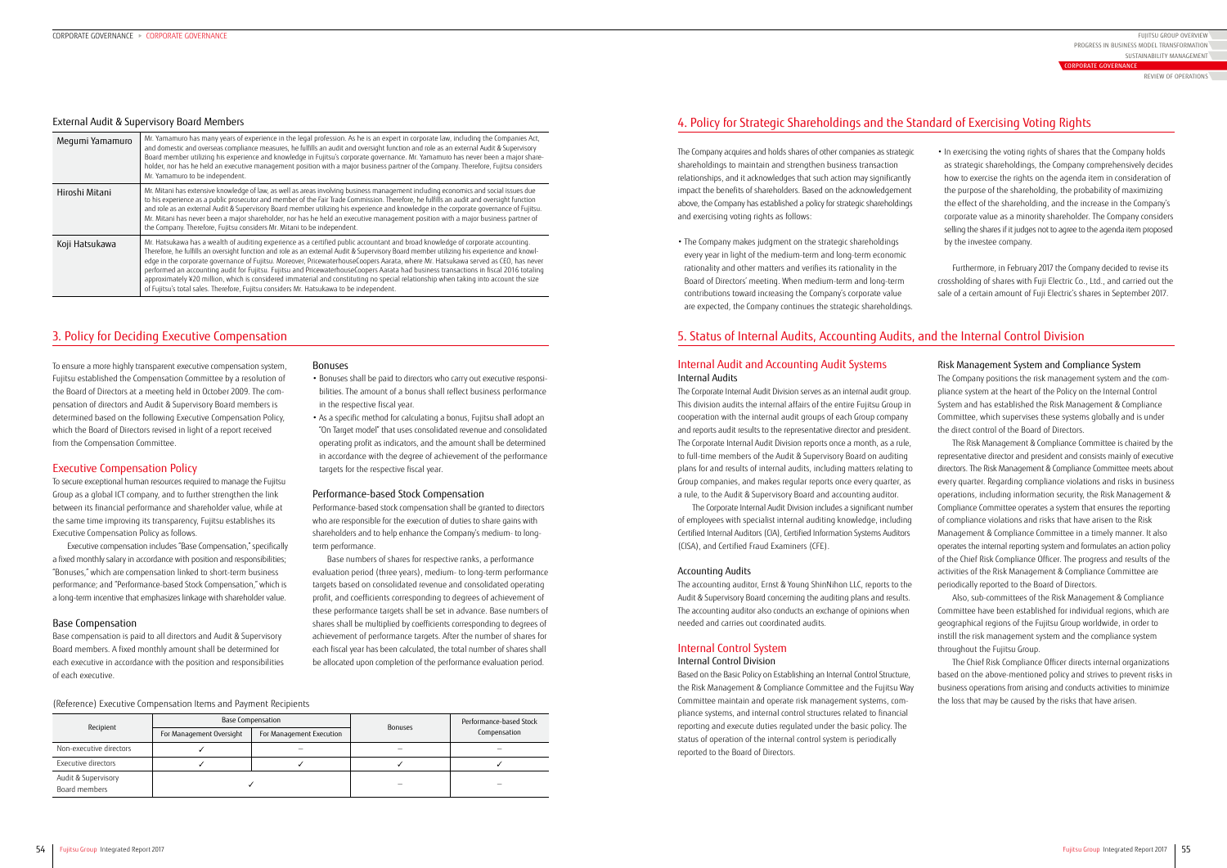#### External Audit & Supervisory Board Members

| Mr. Yamamuro has many years of experience in the legal profession. As he is an expert in corporate law, including the Companies Act,<br>and domestic and overseas compliance measures, he fulfills an audit and oversight function and role as an external Audit & Supervisory<br>Board member utilizing his experience and knowledge in Fujitsu's corporate governance. Mr. Yamamuro has never been a major share-<br>holder, nor has he held an executive management position with a major business partner of the Company. Therefore, Fujitsu considers<br>Mr. Yamamuro to be independent.                                                                                                                                                                                                   |
|-------------------------------------------------------------------------------------------------------------------------------------------------------------------------------------------------------------------------------------------------------------------------------------------------------------------------------------------------------------------------------------------------------------------------------------------------------------------------------------------------------------------------------------------------------------------------------------------------------------------------------------------------------------------------------------------------------------------------------------------------------------------------------------------------|
| Mr. Mitani has extensive knowledge of law, as well as areas involving business management including economics and social issues due<br>to his experience as a public prosecutor and member of the Fair Trade Commission. Therefore, he fulfills an audit and oversight function<br>and role as an external Audit & Supervisory Board member utilizing his experience and knowledge in the corporate governance of Fujitsu.<br>Mr. Mitani has never been a major shareholder, nor has he held an executive management position with a major business partner of<br>the Company. Therefore, Fujitsu considers Mr. Mitani to be independent.                                                                                                                                                       |
| Mr. Hatsukawa has a wealth of auditing experience as a certified public accountant and broad knowledge of corporate accounting.<br>Therefore, he fulfills an oversight function and role as an external Audit & Supervisory Board member utilizing his experience and knowl-<br>edge in the corporate governance of Fujitsu. Moreover, PricewaterhouseCoopers Aarata, where Mr. Hatsukawa served as CEO, has never<br>performed an accounting audit for Fujitsu. Fujitsu and PricewaterhouseCoopers Aarata had business transactions in fiscal 2016 totaling<br>approximately ¥20 million, which is considered immaterial and constituting no special relationship when taking into account the size<br>of Fujitsu's total sales. Therefore, Fujitsu considers Mr. Hatsukawa to be independent. |
| Megumi Yamamuro                                                                                                                                                                                                                                                                                                                                                                                                                                                                                                                                                                                                                                                                                                                                                                                 |

#### (Reference) Executive Compensation Items and Payment Recipients

| Recipient                            |                          | <b>Base Compensation</b> | <b>Bonuses</b> | Performance-based Stock<br>Compensation |  |
|--------------------------------------|--------------------------|--------------------------|----------------|-----------------------------------------|--|
|                                      | For Management Oversight | For Management Execution |                |                                         |  |
| Non-executive directors              |                          |                          |                |                                         |  |
| Executive directors                  |                          |                          |                |                                         |  |
| Audit & Supervisory<br>Board members |                          |                          |                |                                         |  |

### Bonuses

- Bonuses shall be paid to directors who carry out executive responsibilities. The amount of a bonus shall reflect business performance in the respective fiscal year.
- As a specific method for calculating a bonus, Fujitsu shall adopt an "On Target model" that uses consolidated revenue and consolidated operating profit as indicators, and the amount shall be determined in accordance with the degree of achievement of the performance targets for the respective fiscal year.

#### Performance-based Stock Compensation

Performance-based stock compensation shall be granted to directors who are responsible for the execution of duties to share gains with shareholders and to help enhance the Company's medium- to longterm performance.

Base numbers of shares for respective ranks, a performance evaluation period (three years), medium- to long-term performance targets based on consolidated revenue and consolidated operating profit, and coefficients corresponding to degrees of achievement of these performance targets shall be set in advance. Base numbers of shares shall be multiplied by coefficients corresponding to degrees of achievement of performance targets. After the number of shares for each fiscal year has been calculated, the total number of shares shall be allocated upon completion of the performance evaluation period.

• In exercising the voting rights of shares that the Company holds as strategic shareholdings, the Company comprehensively decides how to exercise the rights on the agenda item in consideration of the purpose of the shareholding, the probability of maximizing the effect of the shareholding, and the increase in the Company's corporate value as a minority shareholder. The Company considers selling the shares if it judges not to agree to the agenda item proposed by the investee company.

Furthermore, in February 2017 the Company decided to revise its crossholding of shares with Fuji Electric Co., Ltd., and carried out the sale of a certain amount of Fuji Electric's shares in September 2017.

### Risk Management System and Compliance System

The Company positions the risk management system and the compliance system at the heart of the Policy on the Internal Control System and has established the Risk Management & Compliance Committee, which supervises these systems globally and is under the direct control of the Board of Directors.

The Risk Management & Compliance Committee is chaired by the representative director and president and consists mainly of executive directors. The Risk Management & Compliance Committee meets about every quarter. Regarding compliance violations and risks in business operations, including information security, the Risk Management & Compliance Committee operates a system that ensures the reporting of compliance violations and risks that have arisen to the Risk Management & Compliance Committee in a timely manner. It also operates the internal reporting system and formulates an action policy of the Chief Risk Compliance Officer. The progress and results of the activities of the Risk Management & Compliance Committee are periodically reported to the Board of Directors.

Also, sub-committees of the Risk Management & Compliance Committee have been established for individual regions, which are geographical regions of the Fujitsu Group worldwide, in order to instill the risk management system and the compliance system throughout the Fujitsu Group.

The Chief Risk Compliance Officer directs internal organizations based on the above-mentioned policy and strives to prevent risks in business operations from arising and conducts activities to minimize the loss that may be caused by the risks that have arisen.

To ensure a more highly transparent executive compensation system, Fujitsu established the Compensation Committee by a resolution of the Board of Directors at a meeting held in October 2009. The compensation of directors and Audit & Supervisory Board members is determined based on the following Executive Compensation Policy, which the Board of Directors revised in light of a report received from the Compensation Committee.

# Executive Compensation Policy

To secure exceptional human resources required to manage the Fujitsu Group as a global ICT company, and to further strengthen the link between its financial performance and shareholder value, while at the same time improving its transparency, Fujitsu establishes its Executive Compensation Policy as follows.

Executive compensation includes "Base Compensation," specifically a fixed monthly salary in accordance with position and responsibilities; "Bonuses," which are compensation linked to short-term business performance; and "Performance-based Stock Compensation," which is a long-term incentive that emphasizes linkage with shareholder value.

#### Base Compensation

Base compensation is paid to all directors and Audit & Supervisory Board members. A fixed monthly amount shall be determined for each executive in accordance with the position and responsibilities of each executive.

The Company acquires and holds shares of other companies as strategic shareholdings to maintain and strengthen business transaction relationships, and it acknowledges that such action may significantly impact the benefits of shareholders. Based on the acknowledgement above, the Company has established a policy for strategic shareholdings and exercising voting rights as follows:

• The Company makes judgment on the strategic shareholdings every year in light of the medium-term and long-term economic rationality and other matters and verifies its rationality in the Board of Directors' meeting. When medium-term and long-term contributions toward increasing the Company's corporate value are expected, the Company continues the strategic shareholdings.

# Internal Audit and Accounting Audit Systems Internal Audits

The Corporate Internal Audit Division serves as an internal audit group. This division audits the internal affairs of the entire Fujitsu Group in cooperation with the internal audit groups of each Group company and reports audit results to the representative director and president. The Corporate Internal Audit Division reports once a month, as a rule, to full-time members of the Audit & Supervisory Board on auditing plans for and results of internal audits, including matters relating to Group companies, and makes regular reports once every quarter, as a rule, to the Audit & Supervisory Board and accounting auditor.

The Corporate Internal Audit Division includes a significant number of employees with specialist internal auditing knowledge, including Certified Internal Auditors (CIA), Certified Information Systems Auditors (CISA), and Certified Fraud Examiners (CFE).

#### Accounting Audits

The accounting auditor, Ernst & Young ShinNihon LLC, reports to the Audit & Supervisory Board concerning the auditing plans and results. The accounting auditor also conducts an exchange of opinions when needed and carries out coordinated audits.

# Internal Control System

#### Internal Control Division

Based on the Basic Policy on Establishing an Internal Control Structure, the Risk Management & Compliance Committee and the Fujitsu Way Committee maintain and operate risk management systems, compliance systems, and internal control structures related to financial reporting and execute duties regulated under the basic policy. The status of operation of the internal control system is periodically reported to the Board of Directors.

# 3. Policy for Deciding Executive Compensation

# 4. Policy for Strategic Shareholdings and the Standard of Exercising Voting Rights

# 5. Status of Internal Audits, Accounting Audits, and the Internal Control Division

FUJITSU GROUP OVERVIEW SUSTAINABILITY MANAGEMENT PROGRESS IN BUSINESS MODEL TRANSFORMATION

REVIEW OF OPERATIONS